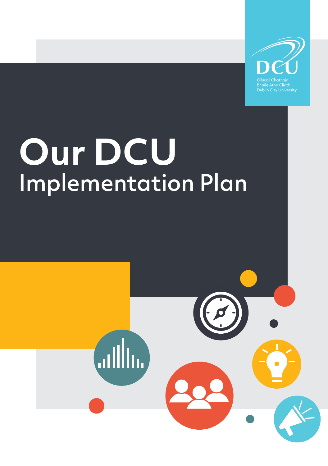

# **Our DCU** Implementation Plan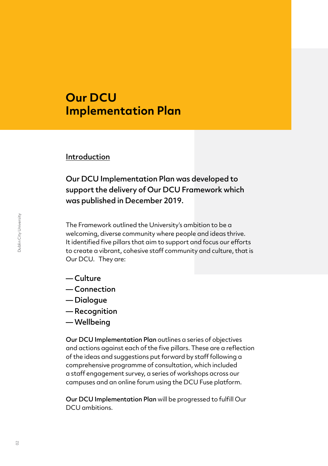# **Our DCU Implementation Plan**

#### Introduction

Our DCU Implementation Plan was developed to support the delivery of Our DCU Framework which was published in December 2019.

The Framework outlined the University's ambition to be a welcoming, diverse community where people and ideas thrive. It identified five pillars that aim to support and focus our efforts to create a vibrant, cohesive staff community and culture, that is Our DCU. They are:

- Culture
- Connection
- Dialogue
- Recognition
- Wellbeing

Our DCU Implementation Plan outlines a series of objectives and actions against each of the five pillars. These are a reflection of the ideas and suggestions put forward by staff following a comprehensive programme of consultation, which included a staff engagement survey, a series of workshops across our campuses and an online forum using the DCU Fuse platform.

Our DCU Implementation Plan will be progressed to fulfill Our DCU ambitions.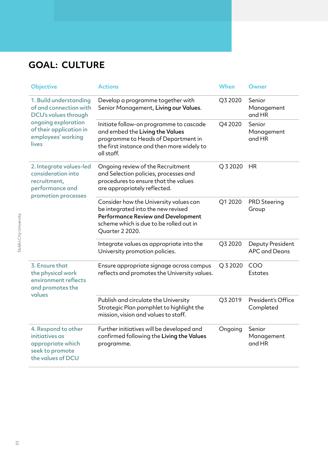# **GOAL: CULTURE**

| <b>Objective</b>                                                                                                                                          | <b>Actions</b>                                                                                                                                                                   | <b>When</b> | Owner                                    |
|-----------------------------------------------------------------------------------------------------------------------------------------------------------|----------------------------------------------------------------------------------------------------------------------------------------------------------------------------------|-------------|------------------------------------------|
| 1. Build understanding<br>of and connection with<br>DCU's values through<br>ongoing exploration<br>of their application in<br>employees' working<br>lives | Develop a programme together with<br>Senior Management, Living our Values.                                                                                                       | Q3 2020     | Senior<br>Management<br>and HR           |
|                                                                                                                                                           | Initiate follow-on programme to cascade<br>and embed the Living the Values<br>programme to Heads of Department in<br>the first instance and then more widely to<br>all staff.    | Q4 2020     | Senior<br>Management<br>and HR           |
| 2. Integrate values-led<br>consideration into<br>recruitment,<br>performance and<br>promotion processes                                                   | Ongoing review of the Recruitment<br>and Selection policies, processes and<br>procedures to ensure that the values<br>are appropriately reflected.                               | Q 3 2020    | <b>HR</b>                                |
|                                                                                                                                                           | Consider how the University values can<br>be integrated into the new revised<br>Performance Review and Development<br>scheme which is due to be rolled out in<br>Quarter 2 2020. | Q1 2020     | <b>PRD Steering</b><br>Group             |
|                                                                                                                                                           | Integrate values as appropriate into the<br>University promotion policies.                                                                                                       | Q3 2020     | Deputy President<br><b>APC and Deans</b> |
| 3. Ensure that<br>the physical work<br>environment reflects<br>and promotes the<br>values                                                                 | Ensure appropriate signage across campus<br>reflects and promotes the University values.                                                                                         | Q 3 2020    | COO<br>Estates                           |
|                                                                                                                                                           | Publish and circulate the University<br>Strategic Plan pamphlet to highlight the<br>mission, vision and values to staff.                                                         | Q3 2019     | President's Office<br>Completed          |
| 4. Respond to other<br>initiatives as<br>appropriate which<br>seek to promote<br>the values of DCU                                                        | Further initiatives will be developed and<br>confirmed following the Living the Values<br>programme.                                                                             | Ongoing     | Senior<br>Management<br>and HR           |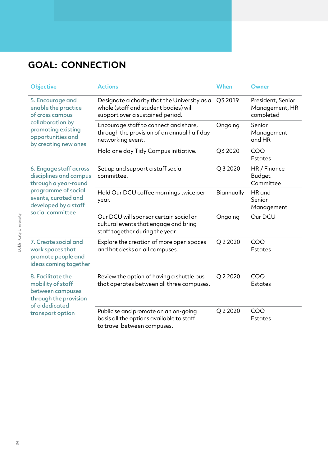### **GOAL: CONNECTION**

| <b>Objective</b>                                                                                                                                                   | <b>Actions</b>                                                                                                            | <b>When</b> | Owner                                            |
|--------------------------------------------------------------------------------------------------------------------------------------------------------------------|---------------------------------------------------------------------------------------------------------------------------|-------------|--------------------------------------------------|
| 5. Encourage and<br>enable the practice<br>of cross campus<br>collaboration by<br>promoting existing<br>opportunities and<br>by creating new ones                  | Designate a charity that the University as a<br>whole (staff and student bodies) will<br>support over a sustained period. | Q3 2019     | President, Senior<br>Management, HR<br>completed |
|                                                                                                                                                                    | Encourage staff to connect and share,<br>through the provision of an annual half day<br>networking event.                 | Ongoing     | Senior<br>Management<br>and HR                   |
|                                                                                                                                                                    | Hold one day Tidy Campus initiative.                                                                                      | Q3 2020     | COO<br><b>Estates</b>                            |
| 6. Engage staff across<br>disciplines and campus<br>through a year-round<br>programme of social<br>events, curated and<br>developed by a staff<br>social committee | Set up and support a staff social<br>committee.                                                                           | Q 3 2020    | HR / Finance<br><b>Budget</b><br>Committee       |
|                                                                                                                                                                    | Hold Our DCU coffee mornings twice per<br>year.                                                                           | Biannually  | HR and<br>Senior<br>Management                   |
|                                                                                                                                                                    | Our DCU will sponsor certain social or<br>cultural events that engage and bring<br>staff together during the year.        | Ongoing     | Our DCU                                          |
| 7. Create social and<br>work spaces that<br>promote people and<br>ideas coming together                                                                            | Explore the creation of more open spaces<br>and hot desks on all campuses.                                                | Q 2 2020    | COO<br><b>Estates</b>                            |
| 8. Facilitate the<br>mobility of staff<br>between campuses<br>through the provision<br>of a dedicated<br>transport option                                          | Review the option of having a shuttle bus<br>that operates between all three campuses.                                    | Q 2 2020    | COO<br><b>Estates</b>                            |
|                                                                                                                                                                    | Publicise and promote on an on-going<br>basis all the options available to staff<br>to travel between campuses.           | Q 2 2020    | COO<br>Estates                                   |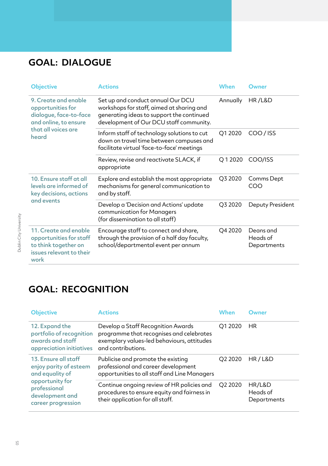#### **GOAL: DIALOGUE**

| <b>Objective</b>                                                                                                             | <b>Actions</b>                                                                                                                                                         | When     | Owner                                |
|------------------------------------------------------------------------------------------------------------------------------|------------------------------------------------------------------------------------------------------------------------------------------------------------------------|----------|--------------------------------------|
| 9. Create and enable<br>opportunities for<br>dialogue, face-to-face<br>and online, to ensure<br>that all voices are<br>heard | Set up and conduct annual Our DCU<br>workshops for staff, aimed at sharing and<br>generating ideas to support the continued<br>development of Our DCU staff community. | Annually | <b>HR/L&amp;D</b>                    |
|                                                                                                                              | Inform staff of technology solutions to cut<br>down on travel time between campuses and<br>facilitate virtual 'face-to-face' meetings                                  | Q1 2020  | COO/ISS                              |
|                                                                                                                              | Review, revise and reactivate SLACK, if<br>appropriate                                                                                                                 | Q12020   | COO/ISS                              |
| 10. Ensure staff at all<br>levels are informed of<br>key decisions, actions<br>and events                                    | Explore and establish the most appropriate<br>mechanisms for general communication to<br>and by staff.                                                                 | Q3 2020  | Comms Dept<br>COO                    |
|                                                                                                                              | Develop a 'Decision and Actions' update<br>communication for Managers<br>(for dissemination to all staff)                                                              | Q3 2020  | Deputy President                     |
| 11. Create and enable<br>opportunities for staff<br>to think together on<br>issues relevant to their<br>work                 | Encourage staff to connect and share,<br>through the provision of a half day faculty,<br>school/departmental event per annum                                           | Q4 2020  | Deans and<br>Heads of<br>Departments |

#### **GOAL: RECOGNITION**

| <b>Objective</b>                                                                                                                              | <b>Actions</b>                                                                                                                                     | When                | Owner                             |
|-----------------------------------------------------------------------------------------------------------------------------------------------|----------------------------------------------------------------------------------------------------------------------------------------------------|---------------------|-----------------------------------|
| 12. Expand the<br>portfolio of recognition<br>awards and staff<br>appreciation initiatives                                                    | Develop a Staff Recognition Awards<br>programme that recognises and celebrates<br>exemplary values-led behaviours, attitudes<br>and contributions. | O1 2020             | <b>HR</b>                         |
| 13. Ensure all staff<br>enjoy parity of esteem<br>and equality of<br>opportunity for<br>professional<br>development and<br>career progression | Publicise and promote the existing<br>professional and career development<br>opportunities to all staff and Line Managers                          | O <sub>2</sub> 2020 | HR/L&D                            |
|                                                                                                                                               | Continue ongoing review of HR policies and<br>procedures to ensure equity and fairness in<br>their application for all staff.                      | Q2 2020             | HR/L&D<br>Heads of<br>Departments |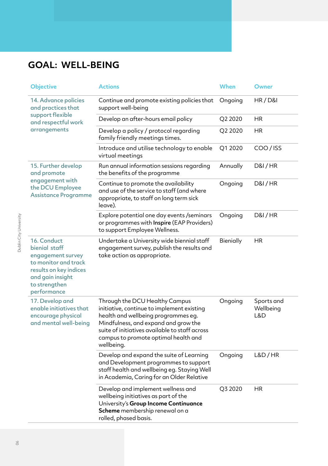#### **GOAL: WELL-BEING**

| <b>Objective</b>                                                                                                                                        | <b>Actions</b>                                                                                                                                                                                                                                                      | When      | Owner                          |
|---------------------------------------------------------------------------------------------------------------------------------------------------------|---------------------------------------------------------------------------------------------------------------------------------------------------------------------------------------------------------------------------------------------------------------------|-----------|--------------------------------|
| 14. Advance policies<br>and practices that<br>support flexible<br>and respectful work<br>arrangements                                                   | Continue and promote existing policies that<br>support well-being                                                                                                                                                                                                   | Ongoing   | HR/DBI                         |
|                                                                                                                                                         | Develop an after-hours email policy                                                                                                                                                                                                                                 | Q2 2020   | <b>HR</b>                      |
|                                                                                                                                                         | Develop a policy / protocol regarding<br>family friendly meetings times.                                                                                                                                                                                            | Q2 2020   | <b>HR</b>                      |
|                                                                                                                                                         | Introduce and utilise technology to enable<br>virtual meetings                                                                                                                                                                                                      | Q1 2020   | COO/ISS                        |
| 15. Further develop<br>and promote<br>engagement with<br>the DCU Employee<br><b>Assistance Programme</b>                                                | Run annual information sessions regarding<br>the benefits of the programme                                                                                                                                                                                          | Annually  | <b>D&amp;I/HR</b>              |
|                                                                                                                                                         | Continue to promote the availability<br>and use of the service to staff (and where<br>appropriate, to staff on long term sick<br>leave).                                                                                                                            | Ongoing   | <b>D&amp;I/HR</b>              |
|                                                                                                                                                         | Explore potential one day events /seminars<br>or programmes with Inspire (EAP Providers)<br>to support Employee Wellness.                                                                                                                                           | Ongoing   | <b>D&amp;I/HR</b>              |
| 16. Conduct<br>bienial staff<br>engagement survey<br>to monitor and track<br>results on key indices<br>and gain insight<br>to strengthen<br>performance | Undertake a University wide biennial staff<br>engagement survey, publish the results and<br>take action as appropriate.                                                                                                                                             | Bienially | <b>HR</b>                      |
| 17. Develop and<br>enable initiatives that<br>encourage physical<br>and mental well-being                                                               | Through the DCU Healthy Campus<br>initiative, continue to implement existing<br>health and wellbeing programmes eg.<br>Mindfulness, and expand and grow the<br>suite of initiatives available to staff across<br>campus to promote optimal health and<br>wellbeing. | Ongoing   | Sports and<br>Wellbeing<br>L&D |
|                                                                                                                                                         | Develop and expand the suite of Learning<br>and Development programmes to support<br>staff health and wellbeing eg. Staying Well<br>in Academia, Caring for an Older Relative                                                                                       | Ongoing   | L&D/HR                         |
|                                                                                                                                                         | Develop and implement wellness and<br>wellbeing initiatives as part of the<br>University's Group Income Continuance<br>Scheme membership renewal on a<br>rolled, phased basis.                                                                                      | Q3 2020   | HR                             |